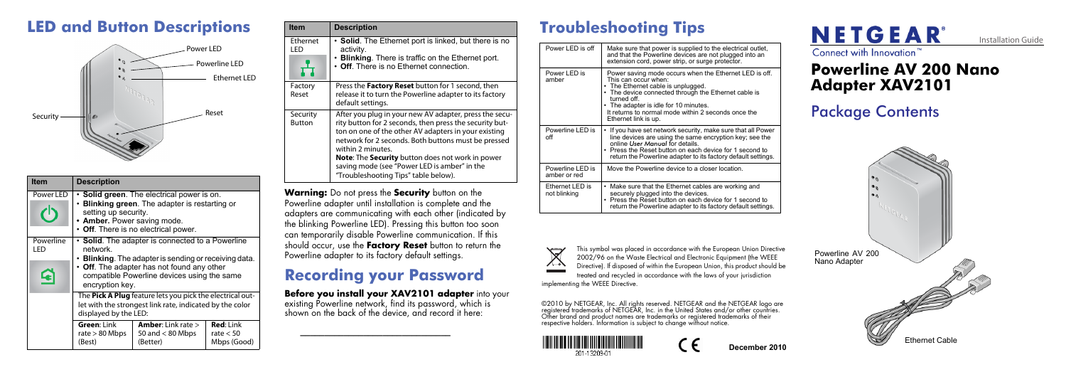



This symbol was placed in accordance with the European Union Directive 2002/96 on the Waste Electrical and Electronic Equipment (the WEEE Directive). If disposed of within the European Union, this product should be treated and recycled in accordance with the laws of your jurisdiction

©2010 by NETGEAR, Inc. All rights reserved. NETGEAR and the NETGEAR logo are registered trademarks of NETGEAR, Inc. in the United States and/or other countries. Other brand and product names are trademarks or registered trademarks of their<br>respective holders. Information is subject to change without notice.





implementing the WEEE Directive.

**December 2010**

## **LED and Button Descriptions**

| <b>Item</b>                       | <b>Description</b>                                                                                                                                                                                                                    |                                                                                                                                                |                                                |
|-----------------------------------|---------------------------------------------------------------------------------------------------------------------------------------------------------------------------------------------------------------------------------------|------------------------------------------------------------------------------------------------------------------------------------------------|------------------------------------------------|
| Power LED                         | setting up security.<br>• Amber. Power saving mode.                                                                                                                                                                                   | <b>Solid green.</b> The electrical power is on.<br><b>Blinking green.</b> The adapter is restarting or<br>• Off. There is no electrical power. |                                                |
| Powerline<br>I FD<br>$\mathbf{G}$ | • Solid. The adapter is connected to a Powerline<br>network.<br>• Blinking. The adapter is sending or receiving data.<br>• Off. The adapter has not found any other<br>compatible Powerline devices using the same<br>encryption key. |                                                                                                                                                |                                                |
|                                   | The Pick A Plug feature lets you pick the electrical out-<br>let with the strongest link rate, indicated by the color<br>displayed by the LED:                                                                                        |                                                                                                                                                |                                                |
|                                   | Green: Link<br>rate $> 80$ Mbps<br>(Best)                                                                                                                                                                                             | <b>Amber:</b> Link rate $>$<br>50 and $< 80$ Mbps<br>(Better)                                                                                  | <b>Red:</b> Link<br>rate $< 50$<br>Mbps (Good) |



## **Powerline AV 200 Nano Adapter XAV2101**

## **Troubleshooting Tips**

| Power LED is off                 | Make sure that power is supplied to the electrical outlet,<br>and that the Powerline devices are not plugged into an<br>extension cord, power strip, or surge protector.                                                                                                                                            |
|----------------------------------|---------------------------------------------------------------------------------------------------------------------------------------------------------------------------------------------------------------------------------------------------------------------------------------------------------------------|
| Power LED is<br>amber            | Power saving mode occurs when the Ethernet LED is off.<br>This can occur when:<br>• The Ethernet cable is unplugged.<br>• The device connected through the Ethernet cable is<br>turned off.<br>• The adapter is idle for 10 minutes.<br>It returns to normal mode within 2 seconds once the<br>Ethernet link is up. |
| Powerline LED is<br>off          | • If you have set network security, make sure that all Power<br>line devices are using the same encryption key; see the<br>online User Manual for details.<br>• Press the Reset button on each device for 1 second to<br>return the Powerline adapter to its factory default settings.                              |
| Powerline LED is<br>amber or red | Move the Powerline device to a closer location.                                                                                                                                                                                                                                                                     |
| Ethernet LED is<br>not blinking  | • Make sure that the Ethernet cables are working and<br>securely plugged into the devices.<br>• Press the Reset button on each device for 1 second to<br>return the Powerline adapter to its factory default settings.                                                                                              |



Package Contents



**Warning:** Do not press the **Security** button on the Powerline adapter until installation is complete and the adapters are communicating with each other (indicated by the blinking Powerline LED). Pressing this button too soon can temporarily disable Powerline communication. If this should occur, use the **Factory Reset** button to return the Powerline adapter to its factory default settings.

## **Recording your Password**

#### **Before you install your XAV2101 adapter** into your existing Powerline network, find its password, which is

shown on the back of the device, and record it here:

**\_\_\_\_\_\_\_\_\_\_\_\_\_\_\_\_\_\_\_\_\_\_\_\_\_\_\_\_\_\_\_**

| <b>Item</b>               | <b>Description</b>                                                                                                                                                                                                                                                                                                                                                                                |
|---------------------------|---------------------------------------------------------------------------------------------------------------------------------------------------------------------------------------------------------------------------------------------------------------------------------------------------------------------------------------------------------------------------------------------------|
| Ethernet<br>I FD          | • Solid. The Ethernet port is linked, but there is no<br>activity.<br>• Blinking. There is traffic on the Ethernet port.<br>• Off. There is no Ethernet connection.                                                                                                                                                                                                                               |
| Factory<br>Reset          | Press the Factory Reset button for 1 second, then<br>release it to turn the Powerline adapter to its factory<br>default settings.                                                                                                                                                                                                                                                                 |
| Security<br><b>Button</b> | After you plug in your new AV adapter, press the secu-<br>rity button for 2 seconds, then press the security but-<br>ton on one of the other AV adapters in your existing<br>network for 2 seconds. Both buttons must be pressed<br>within 2 minutes.<br>Note: The Security button does not work in power<br>saving mode (see "Power LED is amber" in the<br>"Troubleshooting Tips" table below). |